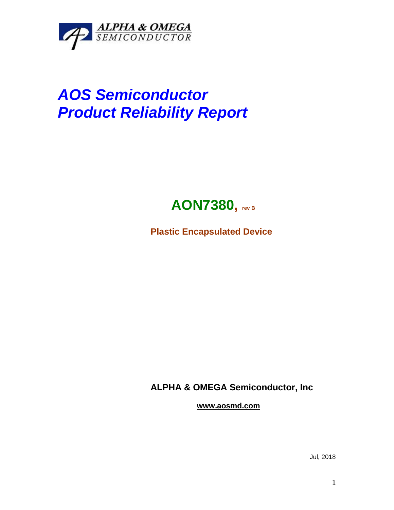

## *AOS Semiconductor Product Reliability Report*



**Plastic Encapsulated Device**

**ALPHA & OMEGA Semiconductor, Inc**

**www.aosmd.com**

Jul, 2018